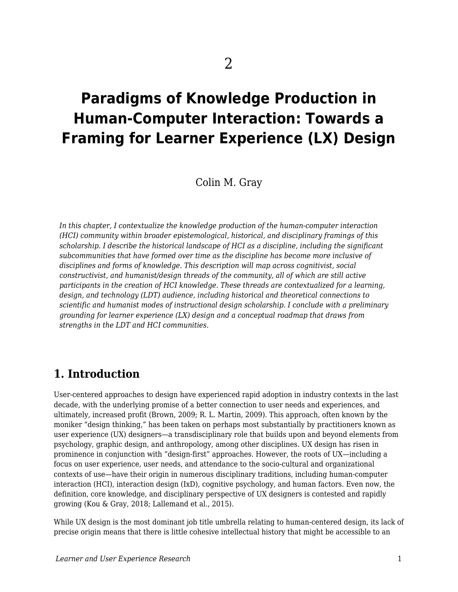# **Paradigms of Knowledge Production in Human-Computer Interaction: Towards a Framing for Learner Experience (LX) Design**

Colin M. Gray

*In this chapter, I contextualize the knowledge production of the human-computer interaction (HCI) community within broader epistemological, historical, and disciplinary framings of this scholarship. I describe the historical landscape of HCI as a discipline, including the significant subcommunities that have formed over time as the discipline has become more inclusive of disciplines and forms of knowledge. This description will map across cognitivist, social constructivist, and humanist/design threads of the community, all of which are still active participants in the creation of HCI knowledge. These threads are contextualized for a learning, design, and technology (LDT) audience, including historical and theoretical connections to scientific and humanist modes of instructional design scholarship. I conclude with a preliminary grounding for learner experience (LX) design and a conceptual roadmap that draws from strengths in the LDT and HCI communities.*

### **1. Introduction**

User-centered approaches to design have experienced rapid adoption in industry contexts in the last decade, with the underlying promise of a better connection to user needs and experiences, and ultimately, increased profit (Brown, 2009; R. L. Martin, 2009). This approach, often known by the moniker "design thinking," has been taken on perhaps most substantially by practitioners known as user experience (UX) designers—a transdisciplinary role that builds upon and beyond elements from psychology, graphic design, and anthropology, among other disciplines. UX design has risen in prominence in conjunction with "design-first" approaches. However, the roots of UX—including a focus on user experience, user needs, and attendance to the socio-cultural and organizational contexts of use—have their origin in numerous disciplinary traditions, including human-computer interaction (HCI), interaction design (IxD), cognitive psychology, and human factors. Even now, the definition, core knowledge, and disciplinary perspective of UX designers is contested and rapidly growing (Kou & Gray, 2018; Lallemand et al., 2015).

While UX design is the most dominant job title umbrella relating to human-centered design, its lack of precise origin means that there is little cohesive intellectual history that might be accessible to an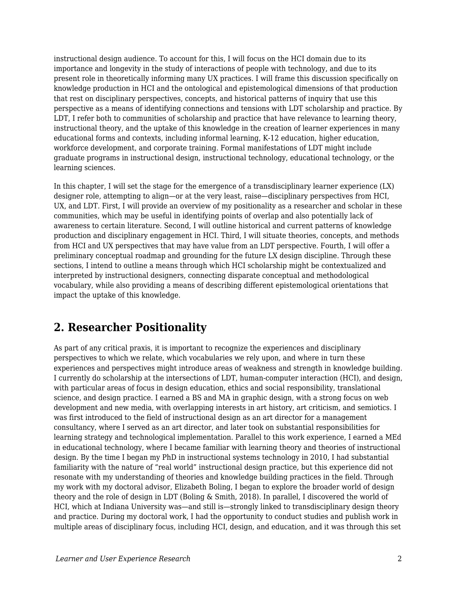instructional design audience. To account for this, I will focus on the HCI domain due to its importance and longevity in the study of interactions of people with technology, and due to its present role in theoretically informing many UX practices. I will frame this discussion specifically on knowledge production in HCI and the ontological and epistemological dimensions of that production that rest on disciplinary perspectives, concepts, and historical patterns of inquiry that use this perspective as a means of identifying connections and tensions with LDT scholarship and practice. By LDT, I refer both to communities of scholarship and practice that have relevance to learning theory, instructional theory, and the uptake of this knowledge in the creation of learner experiences in many educational forms and contexts, including informal learning, K-12 education, higher education, workforce development, and corporate training. Formal manifestations of LDT might include graduate programs in instructional design, instructional technology, educational technology, or the learning sciences.

In this chapter, I will set the stage for the emergence of a transdisciplinary learner experience (LX) designer role, attempting to align—or at the very least, raise—disciplinary perspectives from HCI, UX, and LDT. First, I will provide an overview of my positionality as a researcher and scholar in these communities, which may be useful in identifying points of overlap and also potentially lack of awareness to certain literature. Second, I will outline historical and current patterns of knowledge production and disciplinary engagement in HCI. Third, I will situate theories, concepts, and methods from HCI and UX perspectives that may have value from an LDT perspective. Fourth, I will offer a preliminary conceptual roadmap and grounding for the future LX design discipline. Through these sections, I intend to outline a means through which HCI scholarship might be contextualized and interpreted by instructional designers, connecting disparate conceptual and methodological vocabulary, while also providing a means of describing different epistemological orientations that impact the uptake of this knowledge.

### **2. Researcher Positionality**

As part of any critical praxis, it is important to recognize the experiences and disciplinary perspectives to which we relate, which vocabularies we rely upon, and where in turn these experiences and perspectives might introduce areas of weakness and strength in knowledge building. I currently do scholarship at the intersections of LDT, human-computer interaction (HCI), and design, with particular areas of focus in design education, ethics and social responsibility, translational science, and design practice. I earned a BS and MA in graphic design, with a strong focus on web development and new media, with overlapping interests in art history, art criticism, and semiotics. I was first introduced to the field of instructional design as an art director for a management consultancy, where I served as an art director, and later took on substantial responsibilities for learning strategy and technological implementation. Parallel to this work experience, I earned a MEd in educational technology, where I became familiar with learning theory and theories of instructional design. By the time I began my PhD in instructional systems technology in 2010, I had substantial familiarity with the nature of "real world" instructional design practice, but this experience did not resonate with my understanding of theories and knowledge building practices in the field. Through my work with my doctoral advisor, Elizabeth Boling, I began to explore the broader world of design theory and the role of design in LDT (Boling & Smith, 2018). In parallel, I discovered the world of HCI, which at Indiana University was—and still is—strongly linked to transdisciplinary design theory and practice. During my doctoral work, I had the opportunity to conduct studies and publish work in multiple areas of disciplinary focus, including HCI, design, and education, and it was through this set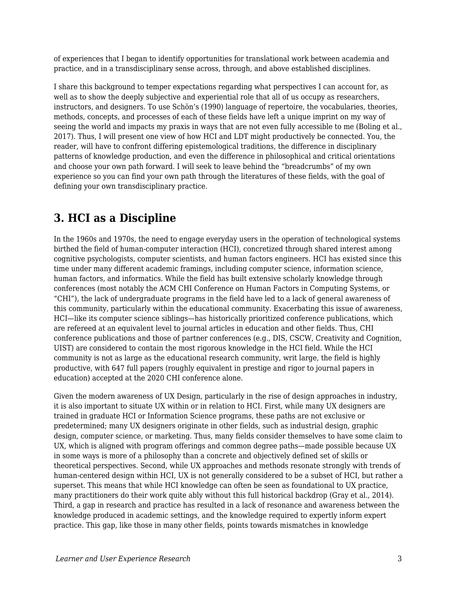of experiences that I began to identify opportunities for translational work between academia and practice, and in a transdisciplinary sense across, through, and above established disciplines.

I share this background to temper expectations regarding what perspectives I can account for, as well as to show the deeply subjective and experiential role that all of us occupy as researchers, instructors, and designers. To use Schön's (1990) language of repertoire, the vocabularies, theories, methods, concepts, and processes of each of these fields have left a unique imprint on my way of seeing the world and impacts my praxis in ways that are not even fully accessible to me (Boling et al., 2017). Thus, I will present one view of how HCI and LDT might productively be connected. You, the reader, will have to confront differing epistemological traditions, the difference in disciplinary patterns of knowledge production, and even the difference in philosophical and critical orientations and choose your own path forward. I will seek to leave behind the "breadcrumbs" of my own experience so you can find your own path through the literatures of these fields, with the goal of defining your own transdisciplinary practice.

## **3. HCI as a Discipline**

In the 1960s and 1970s, the need to engage everyday users in the operation of technological systems birthed the field of human-computer interaction (HCI), concretized through shared interest among cognitive psychologists, computer scientists, and human factors engineers. HCI has existed since this time under many different academic framings, including computer science, information science, human factors, and informatics. While the field has built extensive scholarly knowledge through conferences (most notably the ACM CHI Conference on Human Factors in Computing Systems, or "CHI"), the lack of undergraduate programs in the field have led to a lack of general awareness of this community, particularly within the educational community. Exacerbating this issue of awareness, HCI—like its computer science siblings—has historically prioritized conference publications, which are refereed at an equivalent level to journal articles in education and other fields. Thus, CHI conference publications and those of partner conferences (e.g., DIS, CSCW, Creativity and Cognition, UIST) are considered to contain the most rigorous knowledge in the HCI field. While the HCI community is not as large as the educational research community, writ large, the field is highly productive, with 647 full papers (roughly equivalent in prestige and rigor to journal papers in education) accepted at the 2020 CHI conference alone.

Given the modern awareness of UX Design, particularly in the rise of design approaches in industry, it is also important to situate UX within or in relation to HCI. First, while many UX designers are trained in graduate HCI or Information Science programs, these paths are not exclusive or predetermined; many UX designers originate in other fields, such as industrial design, graphic design, computer science, or marketing. Thus, many fields consider themselves to have some claim to UX, which is aligned with program offerings and common degree paths—made possible because UX in some ways is more of a philosophy than a concrete and objectively defined set of skills or theoretical perspectives. Second, while UX approaches and methods resonate strongly with trends of human-centered design within HCI, UX is not generally considered to be a subset of HCI, but rather a superset. This means that while HCI knowledge can often be seen as foundational to UX practice, many practitioners do their work quite ably without this full historical backdrop (Gray et al., 2014). Third, a gap in research and practice has resulted in a lack of resonance and awareness between the knowledge produced in academic settings, and the knowledge required to expertly inform expert practice. This gap, like those in many other fields, points towards mismatches in knowledge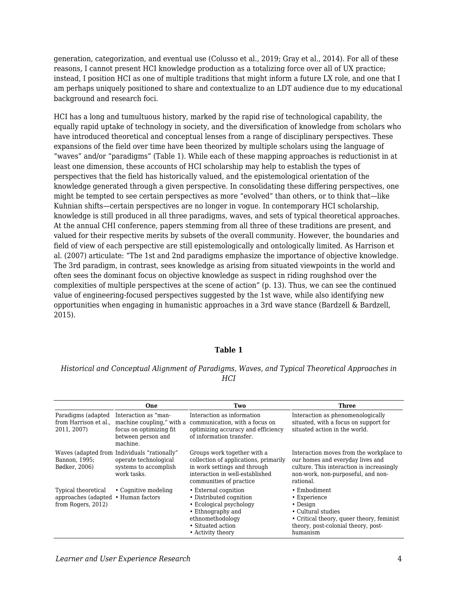generation, categorization, and eventual use (Colusso et al., 2019; Gray et al., 2014). For all of these reasons, I cannot present HCI knowledge production as a totalizing force over all of UX practice; instead, I position HCI as one of multiple traditions that might inform a future LX role, and one that I am perhaps uniquely positioned to share and contextualize to an LDT audience due to my educational background and research foci.

HCI has a long and tumultuous history, marked by the rapid rise of technological capability, the equally rapid uptake of technology in society, and the diversification of knowledge from scholars who have introduced theoretical and conceptual lenses from a range of disciplinary perspectives. These expansions of the field over time have been theorized by multiple scholars using the language of "waves" and/or "paradigms" (Table 1). While each of these mapping approaches is reductionist in at least one dimension, these accounts of HCI scholarship may help to establish the types of perspectives that the field has historically valued, and the epistemological orientation of the knowledge generated through a given perspective. In consolidating these differing perspectives, one might be tempted to see certain perspectives as more "evolved" than others, or to think that—like Kuhnian shifts—certain perspectives are no longer in vogue. In contemporary HCI scholarship, knowledge is still produced in all three paradigms, waves, and sets of typical theoretical approaches. At the annual CHI conference, papers stemming from all three of these traditions are present, and valued for their respective merits by subsets of the overall community. However, the boundaries and field of view of each perspective are still epistemologically and ontologically limited. As Harrison et al. (2007) articulate: "The 1st and 2nd paradigms emphasize the importance of objective knowledge. The 3rd paradigm, in contrast, sees knowledge as arising from situated viewpoints in the world and often sees the dominant focus on objective knowledge as suspect in riding roughshod over the complexities of multiple perspectives at the scene of action" (p. 13). Thus, we can see the continued value of engineering-focused perspectives suggested by the 1st wave, while also identifying new opportunities when engaging in humanistic approaches in a 3rd wave stance (Bardzell & Bardzell, 2015).

#### **Table 1**

#### *Historical and Conceptual Alignment of Paradigms, Waves, and Typical Theoretical Approaches in HCI*

|                                                                  | One                                                                                                            | Two                                                                                                                                                                | Three                                                                                                                                                                       |
|------------------------------------------------------------------|----------------------------------------------------------------------------------------------------------------|--------------------------------------------------------------------------------------------------------------------------------------------------------------------|-----------------------------------------------------------------------------------------------------------------------------------------------------------------------------|
| Paradigms (adapted<br>from Harrison et al.,<br>2011, 2007)       | Interaction as "man-<br>machine coupling," with a<br>focus on optimizing fit<br>between person and<br>machine. | Interaction as information<br>communication, with a focus on<br>optimizing accuracy and efficiency<br>of information transfer.                                     | Interaction as phenomenologically<br>situated, with a focus on support for<br>situated action in the world.                                                                 |
| Bannon, 1995;<br>Bødker, 2006)                                   | Waves (adapted from Individuals "rationally"<br>operate technological<br>systems to accomplish<br>work tasks.  | Groups work together with a<br>collection of applications, primarily<br>in work settings and through<br>interaction in well-established<br>communities of practice | Interaction moves from the workplace to<br>our homes and everyday lives and<br>culture. This interaction is increasingly<br>non-work, non-purposeful, and non-<br>rational. |
| Typical theoretical<br>approaches (adapted<br>from Rogers, 2012) | • Cognitive modeling<br>• Human factors                                                                        | • External cognition<br>• Distributed cognition<br>• Ecological psychology<br>• Ethnography and<br>ethnomethodology<br>• Situated action<br>• Activity theory      | $\cdot$ Embodiment<br>• Experience<br>• Design<br>• Cultural studies<br>• Critical theory, queer theory, feminist<br>theory, post-colonial theory, post-<br>humanism        |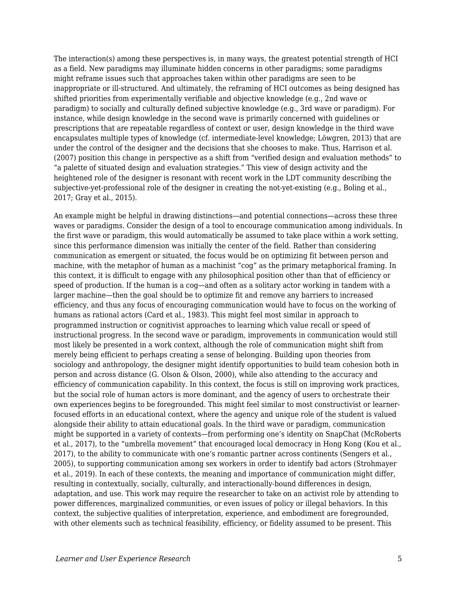The interaction(s) among these perspectives is, in many ways, the greatest potential strength of HCI as a field. New paradigms may illuminate hidden concerns in other paradigms; some paradigms might reframe issues such that approaches taken within other paradigms are seen to be inappropriate or ill-structured. And ultimately, the reframing of HCI outcomes as being designed has shifted priorities from experimentally verifiable and objective knowledge (e.g., 2nd wave or paradigm) to socially and culturally defined subjective knowledge (e.g., 3rd wave or paradigm). For instance, while design knowledge in the second wave is primarily concerned with guidelines or prescriptions that are repeatable regardless of context or user, design knowledge in the third wave encapsulates multiple types of knowledge (cf. intermediate-level knowledge; Löwgren, 2013) that are under the control of the designer and the decisions that she chooses to make. Thus, Harrison et al. (2007) position this change in perspective as a shift from "verified design and evaluation methods" to "a palette of situated design and evaluation strategies." This view of design activity and the heightened role of the designer is resonant with recent work in the LDT community describing the subjective-yet-professional role of the designer in creating the not-yet-existing (e.g., Boling et al., 2017; Gray et al., 2015).

An example might be helpful in drawing distinctions—and potential connections—across these three waves or paradigms. Consider the design of a tool to encourage communication among individuals. In the first wave or paradigm, this would automatically be assumed to take place within a work setting, since this performance dimension was initially the center of the field. Rather than considering communication as emergent or situated, the focus would be on optimizing fit between person and machine, with the metaphor of human as a machinist "cog" as the primary metaphorical framing. In this context, it is difficult to engage with any philosophical position other than that of efficiency or speed of production. If the human is a cog—and often as a solitary actor working in tandem with a larger machine—then the goal should be to optimize fit and remove any barriers to increased efficiency, and thus any focus of encouraging communication would have to focus on the working of humans as rational actors (Card et al., 1983). This might feel most similar in approach to programmed instruction or cognitivist approaches to learning which value recall or speed of instructional progress. In the second wave or paradigm, improvements in communication would still most likely be presented in a work context, although the role of communication might shift from merely being efficient to perhaps creating a sense of belonging. Building upon theories from sociology and anthropology, the designer might identify opportunities to build team cohesion both in person and across distance (G. Olson & Olson, 2000), while also attending to the accuracy and efficiency of communication capability. In this context, the focus is still on improving work practices, but the social role of human actors is more dominant, and the agency of users to orchestrate their own experiences begins to be foregrounded. This might feel similar to most constructivist or learnerfocused efforts in an educational context, where the agency and unique role of the student is valued alongside their ability to attain educational goals. In the third wave or paradigm, communication might be supported in a variety of contexts—from performing one's identity on SnapChat (McRoberts et al., 2017), to the "umbrella movement" that encouraged local democracy in Hong Kong (Kou et al., 2017), to the ability to communicate with one's romantic partner across continents (Sengers et al., 2005), to supporting communication among sex workers in order to identify bad actors (Strohmayer et al., 2019). In each of these contexts, the meaning and importance of communication might differ, resulting in contextually, socially, culturally, and interactionally-bound differences in design, adaptation, and use. This work may require the researcher to take on an activist role by attending to power differences, marginalized communities, or even issues of policy or illegal behaviors. In this context, the subjective qualities of interpretation, experience, and embodiment are foregrounded, with other elements such as technical feasibility, efficiency, or fidelity assumed to be present. This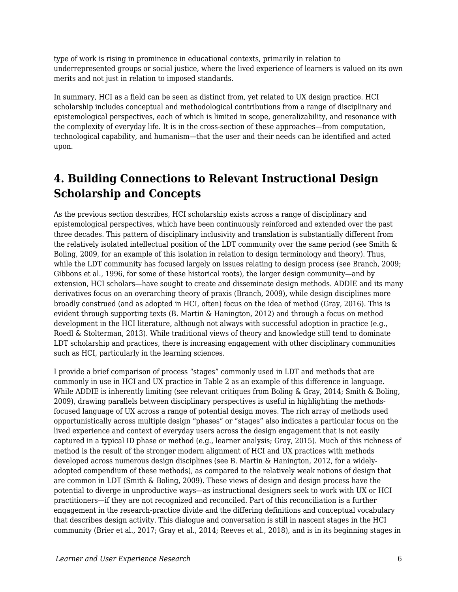type of work is rising in prominence in educational contexts, primarily in relation to underrepresented groups or social justice, where the lived experience of learners is valued on its own merits and not just in relation to imposed standards.

In summary, HCI as a field can be seen as distinct from, yet related to UX design practice. HCI scholarship includes conceptual and methodological contributions from a range of disciplinary and epistemological perspectives, each of which is limited in scope, generalizability, and resonance with the complexity of everyday life. It is in the cross-section of these approaches—from computation, technological capability, and humanism—that the user and their needs can be identified and acted upon.

# **4. Building Connections to Relevant Instructional Design Scholarship and Concepts**

As the previous section describes, HCI scholarship exists across a range of disciplinary and epistemological perspectives, which have been continuously reinforced and extended over the past three decades. This pattern of disciplinary inclusivity and translation is substantially different from the relatively isolated intellectual position of the LDT community over the same period (see Smith & Boling, 2009, for an example of this isolation in relation to design terminology and theory). Thus, while the LDT community has focused largely on issues relating to design process (see Branch, 2009; Gibbons et al., 1996, for some of these historical roots), the larger design community—and by extension, HCI scholars—have sought to create and disseminate design methods. ADDIE and its many derivatives focus on an overarching theory of praxis (Branch, 2009), while design disciplines more broadly construed (and as adopted in HCI, often) focus on the idea of method (Gray, 2016). This is evident through supporting texts (B. Martin & Hanington, 2012) and through a focus on method development in the HCI literature, although not always with successful adoption in practice (e.g., Roedl & Stolterman, 2013). While traditional views of theory and knowledge still tend to dominate LDT scholarship and practices, there is increasing engagement with other disciplinary communities such as HCI, particularly in the learning sciences.

I provide a brief comparison of process "stages" commonly used in LDT and methods that are commonly in use in HCI and UX practice in Table 2 as an example of this difference in language. While ADDIE is inherently limiting (see relevant critiques from Boling & Gray, 2014; Smith & Boling, 2009), drawing parallels between disciplinary perspectives is useful in highlighting the methodsfocused language of UX across a range of potential design moves. The rich array of methods used opportunistically across multiple design "phases" or "stages" also indicates a particular focus on the lived experience and context of everyday users across the design engagement that is not easily captured in a typical ID phase or method (e.g., learner analysis; Gray, 2015). Much of this richness of method is the result of the stronger modern alignment of HCI and UX practices with methods developed across numerous design disciplines (see B. Martin & Hanington, 2012, for a widelyadopted compendium of these methods), as compared to the relatively weak notions of design that are common in LDT (Smith & Boling, 2009). These views of design and design process have the potential to diverge in unproductive ways—as instructional designers seek to work with UX or HCI practitioners—if they are not recognized and reconciled. Part of this reconciliation is a further engagement in the research-practice divide and the differing definitions and conceptual vocabulary that describes design activity. This dialogue and conversation is still in nascent stages in the HCI community (Brier et al., 2017; Gray et al., 2014; Reeves et al., 2018), and is in its beginning stages in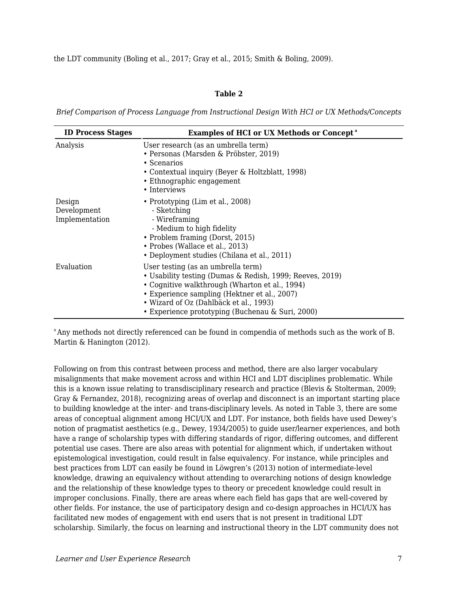the LDT community (Boling et al., 2017; Gray et al., 2015; Smith & Boling, 2009).

#### **Table 2**

*Brief Comparison of Process Language from Instructional Design With HCI or UX Methods/Concepts*

| <b>ID Process Stages</b>                | <b>Examples of HCI or UX Methods or Concept<sup>a</sup></b>                                                                                                                                                                                                                                    |  |
|-----------------------------------------|------------------------------------------------------------------------------------------------------------------------------------------------------------------------------------------------------------------------------------------------------------------------------------------------|--|
| Analysis                                | User research (as an umbrella term)<br>• Personas (Marsden & Pröbster, 2019)<br>• Scenarios<br>• Contextual inquiry (Beyer & Holtzblatt, 1998)<br>• Ethnographic engagement<br>• Interviews                                                                                                    |  |
| Design<br>Development<br>Implementation | • Prototyping (Lim et al., 2008)<br>- Sketching<br>- Wireframing<br>- Medium to high fidelity<br>• Problem framing (Dorst, 2015)<br>• Probes (Wallace et al., 2013)<br>• Deployment studies (Chilana et al., 2011)                                                                             |  |
| Evaluation                              | User testing (as an umbrella term)<br>• Usability testing (Dumas & Redish, 1999; Reeves, 2019)<br>• Cognitive walkthrough (Wharton et al., 1994)<br>• Experience sampling (Hektner et al., 2007)<br>• Wizard of Oz (Dahlbäck et al., 1993)<br>• Experience prototyping (Buchenau & Suri, 2000) |  |

<sup>a</sup> Any methods not directly referenced can be found in compendia of methods such as the work of B. Martin & Hanington (2012).

Following on from this contrast between process and method, there are also larger vocabulary misalignments that make movement across and within HCI and LDT disciplines problematic. While this is a known issue relating to transdisciplinary research and practice (Blevis & Stolterman, 2009; Gray & Fernandez, 2018), recognizing areas of overlap and disconnect is an important starting place to building knowledge at the inter- and trans-disciplinary levels. As noted in Table 3, there are some areas of conceptual alignment among HCI/UX and LDT. For instance, both fields have used Dewey's notion of pragmatist aesthetics (e.g., Dewey, 1934/2005) to guide user/learner experiences, and both have a range of scholarship types with differing standards of rigor, differing outcomes, and different potential use cases. There are also areas with potential for alignment which, if undertaken without epistemological investigation, could result in false equivalency. For instance, while principles and best practices from LDT can easily be found in Löwgren's (2013) notion of intermediate-level knowledge, drawing an equivalency without attending to overarching notions of design knowledge and the relationship of these knowledge types to theory or precedent knowledge could result in improper conclusions. Finally, there are areas where each field has gaps that are well-covered by other fields. For instance, the use of participatory design and co-design approaches in HCI/UX has facilitated new modes of engagement with end users that is not present in traditional LDT scholarship. Similarly, the focus on learning and instructional theory in the LDT community does not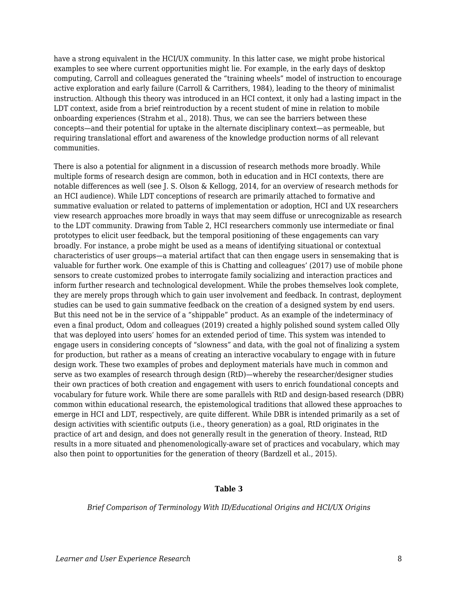have a strong equivalent in the HCI/UX community. In this latter case, we might probe historical examples to see where current opportunities might lie. For example, in the early days of desktop computing, Carroll and colleagues generated the "training wheels" model of instruction to encourage active exploration and early failure (Carroll & Carrithers, 1984), leading to the theory of minimalist instruction. Although this theory was introduced in an HCI context, it only had a lasting impact in the LDT context, aside from a brief reintroduction by a recent student of mine in relation to mobile onboarding experiences (Strahm et al., 2018). Thus, we can see the barriers between these concepts—and their potential for uptake in the alternate disciplinary context—as permeable, but requiring translational effort and awareness of the knowledge production norms of all relevant communities.

There is also a potential for alignment in a discussion of research methods more broadly. While multiple forms of research design are common, both in education and in HCI contexts, there are notable differences as well (see J. S. Olson & Kellogg, 2014, for an overview of research methods for an HCI audience). While LDT conceptions of research are primarily attached to formative and summative evaluation or related to patterns of implementation or adoption, HCI and UX researchers view research approaches more broadly in ways that may seem diffuse or unrecognizable as research to the LDT community. Drawing from Table 2, HCI researchers commonly use intermediate or final prototypes to elicit user feedback, but the temporal positioning of these engagements can vary broadly. For instance, a probe might be used as a means of identifying situational or contextual characteristics of user groups—a material artifact that can then engage users in sensemaking that is valuable for further work. One example of this is Chatting and colleagues' (2017) use of mobile phone sensors to create customized probes to interrogate family socializing and interaction practices and inform further research and technological development. While the probes themselves look complete, they are merely props through which to gain user involvement and feedback. In contrast, deployment studies can be used to gain summative feedback on the creation of a designed system by end users. But this need not be in the service of a "shippable" product. As an example of the indeterminacy of even a final product, Odom and colleagues (2019) created a highly polished sound system called Olly that was deployed into users' homes for an extended period of time. This system was intended to engage users in considering concepts of "slowness" and data, with the goal not of finalizing a system for production, but rather as a means of creating an interactive vocabulary to engage with in future design work. These two examples of probes and deployment materials have much in common and serve as two examples of research through design (RtD)—whereby the researcher/designer studies their own practices of both creation and engagement with users to enrich foundational concepts and vocabulary for future work. While there are some parallels with RtD and design-based research (DBR) common within educational research, the epistemological traditions that allowed these approaches to emerge in HCI and LDT, respectively, are quite different. While DBR is intended primarily as a set of design activities with scientific outputs (i.e., theory generation) as a goal, RtD originates in the practice of art and design, and does not generally result in the generation of theory. Instead, RtD results in a more situated and phenomenologically-aware set of practices and vocabulary, which may also then point to opportunities for the generation of theory (Bardzell et al., 2015).

#### **Table 3**

*Brief Comparison of Terminology With ID/Educational Origins and HCI/UX Origins*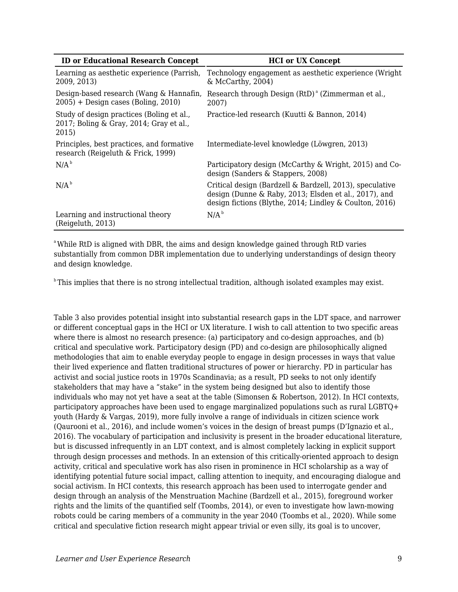| <b>ID or Educational Research Concept</b>                                                     | <b>HCI</b> or UX Concept                                                                                                                                                     |
|-----------------------------------------------------------------------------------------------|------------------------------------------------------------------------------------------------------------------------------------------------------------------------------|
| Learning as aesthetic experience (Parrish,<br>2009, 2013)                                     | Technology engagement as aesthetic experience (Wright)<br>$\&$ McCarthy, 2004)                                                                                               |
| Design-based research (Wang & Hannafin,<br>$2005$ ) + Design cases (Boling, 2010)             | Research through Design (RtD) <sup>a</sup> (Zimmerman et al.,<br>2007)                                                                                                       |
| Study of design practices (Boling et al.,<br>2017; Boling & Gray, 2014; Gray et al.,<br>2015) | Practice-led research (Kuutti & Bannon, 2014)                                                                                                                                |
| Principles, best practices, and formative<br>research (Reigeluth & Frick, 1999)               | Intermediate-level knowledge (Löwgren, 2013)                                                                                                                                 |
| N/A <sup>b</sup>                                                                              | Participatory design (McCarthy & Wright, 2015) and Co-<br>design (Sanders & Stappers, 2008)                                                                                  |
| N/A <sup>b</sup>                                                                              | Critical design (Bardzell & Bardzell, 2013), speculative<br>design (Dunne & Raby, 2013; Elsden et al., 2017), and<br>design fictions (Blythe, 2014; Lindley & Coulton, 2016) |
| Learning and instructional theory<br>(Reigeluth, 2013)                                        | N/A <sup>b</sup>                                                                                                                                                             |

<sup>a</sup>While RtD is aligned with DBR, the aims and design knowledge gained through RtD varies substantially from common DBR implementation due to underlying understandings of design theory and design knowledge.

 $\mu$ This implies that there is no strong intellectual tradition, although isolated examples may exist.

Table 3 also provides potential insight into substantial research gaps in the LDT space, and narrower or different conceptual gaps in the HCI or UX literature. I wish to call attention to two specific areas where there is almost no research presence: (a) participatory and co-design approaches, and (b) critical and speculative work. Participatory design (PD) and co-design are philosophically aligned methodologies that aim to enable everyday people to engage in design processes in ways that value their lived experience and flatten traditional structures of power or hierarchy. PD in particular has activist and social justice roots in 1970s Scandinavia; as a result, PD seeks to not only identify stakeholders that may have a "stake" in the system being designed but also to identify those individuals who may not yet have a seat at the table (Simonsen & Robertson, 2012). In HCI contexts, participatory approaches have been used to engage marginalized populations such as rural LGBTQ+ youth (Hardy & Vargas, 2019), more fully involve a range of individuals in citizen science work (Qaurooni et al., 2016), and include women's voices in the design of breast pumps (D'Ignazio et al., 2016). The vocabulary of participation and inclusivity is present in the broader educational literature, but is discussed infrequently in an LDT context, and is almost completely lacking in explicit support through design processes and methods. In an extension of this critically-oriented approach to design activity, critical and speculative work has also risen in prominence in HCI scholarship as a way of identifying potential future social impact, calling attention to inequity, and encouraging dialogue and social activism. In HCI contexts, this research approach has been used to interrogate gender and design through an analysis of the Menstruation Machine (Bardzell et al., 2015), foreground worker rights and the limits of the quantified self (Toombs, 2014), or even to investigate how lawn-mowing robots could be caring members of a community in the year 2040 (Toombs et al., 2020). While some critical and speculative fiction research might appear trivial or even silly, its goal is to uncover,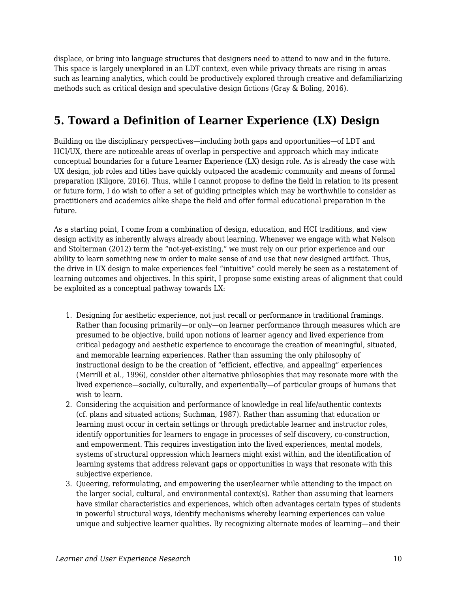displace, or bring into language structures that designers need to attend to now and in the future. This space is largely unexplored in an LDT context, even while privacy threats are rising in areas such as learning analytics, which could be productively explored through creative and defamiliarizing methods such as critical design and speculative design fictions (Gray & Boling, 2016).

## **5. Toward a Definition of Learner Experience (LX) Design**

Building on the disciplinary perspectives—including both gaps and opportunities—of LDT and HCI/UX, there are noticeable areas of overlap in perspective and approach which may indicate conceptual boundaries for a future Learner Experience (LX) design role. As is already the case with UX design, job roles and titles have quickly outpaced the academic community and means of formal preparation (Kilgore, 2016). Thus, while I cannot propose to define the field in relation to its present or future form, I do wish to offer a set of guiding principles which may be worthwhile to consider as practitioners and academics alike shape the field and offer formal educational preparation in the future.

As a starting point, I come from a combination of design, education, and HCI traditions, and view design activity as inherently always already about learning. Whenever we engage with what Nelson and Stolterman (2012) term the "not-yet-existing," we must rely on our prior experience and our ability to learn something new in order to make sense of and use that new designed artifact. Thus, the drive in UX design to make experiences feel "intuitive" could merely be seen as a restatement of learning outcomes and objectives. In this spirit, I propose some existing areas of alignment that could be exploited as a conceptual pathway towards LX:

- 1. Designing for aesthetic experience, not just recall or performance in traditional framings. Rather than focusing primarily—or only—on learner performance through measures which are presumed to be objective, build upon notions of learner agency and lived experience from critical pedagogy and aesthetic experience to encourage the creation of meaningful, situated, and memorable learning experiences. Rather than assuming the only philosophy of instructional design to be the creation of "efficient, effective, and appealing" experiences (Merrill et al., 1996), consider other alternative philosophies that may resonate more with the lived experience—socially, culturally, and experientially—of particular groups of humans that wish to learn.
- 2. Considering the acquisition and performance of knowledge in real life/authentic contexts (cf. plans and situated actions; Suchman, 1987). Rather than assuming that education or learning must occur in certain settings or through predictable learner and instructor roles, identify opportunities for learners to engage in processes of self discovery, co-construction, and empowerment. This requires investigation into the lived experiences, mental models, systems of structural oppression which learners might exist within, and the identification of learning systems that address relevant gaps or opportunities in ways that resonate with this subjective experience.
- 3. Queering, reformulating, and empowering the user/learner while attending to the impact on the larger social, cultural, and environmental context(s). Rather than assuming that learners have similar characteristics and experiences, which often advantages certain types of students in powerful structural ways, identify mechanisms whereby learning experiences can value unique and subjective learner qualities. By recognizing alternate modes of learning—and their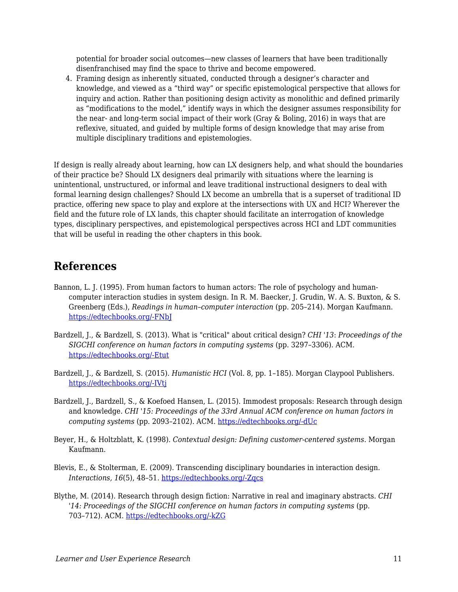potential for broader social outcomes—new classes of learners that have been traditionally disenfranchised may find the space to thrive and become empowered.

4. Framing design as inherently situated, conducted through a designer's character and knowledge, and viewed as a "third way" or specific epistemological perspective that allows for inquiry and action. Rather than positioning design activity as monolithic and defined primarily as "modifications to the model," identify ways in which the designer assumes responsibility for the near- and long-term social impact of their work (Gray & Boling, 2016) in ways that are reflexive, situated, and guided by multiple forms of design knowledge that may arise from multiple disciplinary traditions and epistemologies.

If design is really already about learning, how can LX designers help, and what should the boundaries of their practice be? Should LX designers deal primarily with situations where the learning is unintentional, unstructured, or informal and leave traditional instructional designers to deal with formal learning design challenges? Should LX become an umbrella that is a superset of traditional ID practice, offering new space to play and explore at the intersections with UX and HCI? Wherever the field and the future role of LX lands, this chapter should facilitate an interrogation of knowledge types, disciplinary perspectives, and epistemological perspectives across HCI and LDT communities that will be useful in reading the other chapters in this book.

### **References**

- Bannon, L. J. (1995). From human factors to human actors: The role of psychology and humancomputer interaction studies in system design. In R. M. Baecker, J. Grudin, W. A. S. Buxton, & S. Greenberg (Eds.), *Readings in human–computer interaction* (pp. 205–214). Morgan Kaufmann. [https://edtechbooks.org/-FNbJ](https://doi.org/10.1016/B978-0-08-051574-8.50024-8)
- Bardzell, J., & Bardzell, S. (2013). What is "critical" about critical design? *CHI '13*: *Proceedings of the SIGCHI conference on human factors in computing systems* (pp. 3297–3306). ACM. [https://edtechbooks.org/-Etut](https://doi.org/10.1145/2470654.2466451)
- Bardzell, J., & Bardzell, S. (2015). *Humanistic HCI* (Vol. 8, pp. 1–185). Morgan Claypool Publishers. [https://edtechbooks.org/-IVtj](https://doi.org/10.2200/S00664ED1V01Y201508HCI031)
- Bardzell, J., Bardzell, S., & Koefoed Hansen, L. (2015). Immodest proposals: Research through design and knowledge. *CHI '15: Proceedings of the 33rd Annual ACM conference on human factors in computing systems* (pp. 2093–2102). ACM. [https://edtechbooks.org/-dUc](https://doi.org/10.1145/2702123.2702400)
- Beyer, H., & Holtzblatt, K. (1998). *Contextual design: Defining customer-centered systems*. Morgan Kaufmann.
- Blevis, E., & Stolterman, E. (2009). Transcending disciplinary boundaries in interaction design. *Interactions, 16*(5), 48–51. [https://edtechbooks.org/-Zqcs](https://doi.org/10.1145/1572626.1572636)
- Blythe, M. (2014). Research through design fiction: Narrative in real and imaginary abstracts. *CHI '14: Proceedings of the SIGCHI conference on human factors in computing systems* (pp. 703–712). ACM. [https://edtechbooks.org/-kZG](https://doi.org/10.1145/2556288.2557098)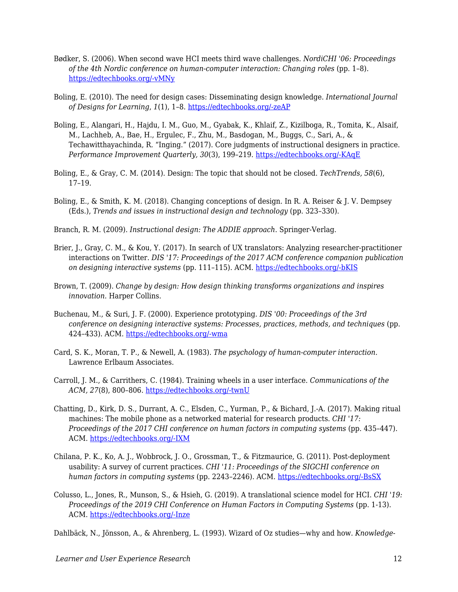- Bødker, S. (2006). When second wave HCI meets third wave challenges. *NordiCHI '06: Proceedings of the 4th Nordic conference on human-computer interaction: Changing roles (pp. 1-8).* [https://edtechbooks.org/-vMNy](https://doi.org/10.1145/1182475.1182476)
- Boling, E. (2010). The need for design cases: Disseminating design knowledge. *International Journal of Designs for Learning*, *1*(1), 1–8. [https://edtechbooks.org/-zeAP](https://doi.org/10.14434/ijdl.v1i1.919)
- Boling, E., Alangari, H., Hajdu, I. M., Guo, M., Gyabak, K., Khlaif, Z., Kizilboga, R., Tomita, K., Alsaif, M., Lachheb, A., Bae, H., Ergulec, F., Zhu, M., Basdogan, M., Buggs, C., Sari, A., & Techawitthayachinda, R. "Inging." (2017). Core judgments of instructional designers in practice. *Performance Improvement Quarterly, 30*(3), 199–219. [https://edtechbooks.org/-KAqE](https://doi.org/10.1002/piq.21250)
- Boling, E., & Gray, C. M. (2014). Design: The topic that should not be closed. *TechTrends, 58*(6), 17–19.
- Boling, E., & Smith, K. M. (2018). Changing conceptions of design. In R. A. Reiser & J. V. Dempsey (Eds.), *Trends and issues in instructional design and technology* (pp. 323–330).
- Branch, R. M. (2009). *Instructional design: The ADDIE approach*. Springer-Verlag.
- Brier, J., Gray, C. M., & Kou, Y. (2017). In search of UX translators: Analyzing researcher-practitioner interactions on Twitter. *DIS '17: Proceedings of the 2017 ACM conference companion publication on designing interactive systems* (pp. 111–115). ACM. [https://edtechbooks.org/-bKIS](https://doi.org/10.1145/3064857.3079129)
- Brown, T. (2009). *Change by design: How design thinking transforms organizations and inspires innovation*. Harper Collins.
- Buchenau, M., & Suri, J. F. (2000). Experience prototyping. *DIS '00: Proceedings of the 3rd conference on designing interactive systems: Processes, practices, methods, and techniques* (pp. 424–433). ACM. [https://edtechbooks.org/-wma](https://doi.org/10.1145/347642.347802)
- Card, S. K., Moran, T. P., & Newell, A. (1983). *The psychology of human-computer interaction*. Lawrence Erlbaum Associates.
- Carroll, J. M., & Carrithers, C. (1984). Training wheels in a user interface. *Communications of the ACM, 27*(8), 800–806. [https://edtechbooks.org/-twnU](https://doi.org/10.1145/358198.358218)
- Chatting, D., Kirk, D. S., Durrant, A. C., Elsden, C., Yurman, P., & Bichard, J.-A. (2017). Making ritual machines: The mobile phone as a networked material for research products. *CHI '17: Proceedings of the 2017 CHI conference on human factors in computing systems* (pp. 435–447). ACM. [https://edtechbooks.org/-IXM](https://doi.org/10.1145/3025453.3025630)
- Chilana, P. K., Ko, A. J., Wobbrock, J. O., Grossman, T., & Fitzmaurice, G. (2011). Post-deployment usability: A survey of current practices. *CHI '11: Proceedings of the SIGCHI conference on human factors in computing systems* (pp. 2243–2246). ACM. [https://edtechbooks.org/-BsSX](https://doi.org/10.1145/1978942.1979270)
- Colusso, L., Jones, R., Munson, S., & Hsieh, G. (2019). A translational science model for HCI. *CHI '19: Proceedings of the 2019 CHI Conference on Human Factors in Computing Systems* (pp. 1-13). ACM. [https://edtechbooks.org/-Inze](https://doi.org/10.1145/3290605.3300231)

Dahlbäck, N., Jönsson, A., & Ahrenberg, L. (1993). Wizard of Oz studies—why and how. *Knowledge-*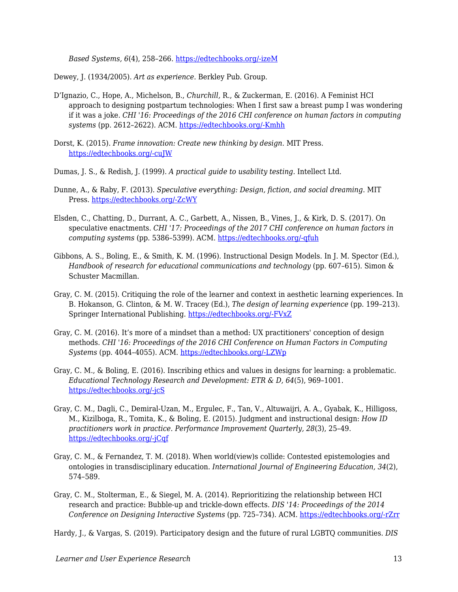*Based Systems, 6*(4), 258–266. [https://edtechbooks.org/-izeM](https://www.sciencedirect.com/science/article/pii/095070519390017N)

Dewey, J. (1934/2005). *Art as experience*. Berkley Pub. Group.

- D'Ignazio, C., Hope, A., Michelson, B., *Churchill,* R., & Zuckerman, E. (2016). A Feminist HCI approach to designing postpartum technologies: When I first saw a breast pump I was wondering if it was a joke. *CHI '16: Proceedings of the 2016 CHI conference on human factors in computing systems* (pp. 2612–2622). ACM. [https://edtechbooks.org/-Kmhh](https://dl.acm.org/citation.cfm?id=2858460)
- Dorst, K. (2015). *Frame innovation: Create new thinking by design*. MIT Press. [https://edtechbooks.org/-cuJW](http://www.worldcat.org/title/frame-innovation-create-new-thinking-by-design/oclc/912378209)
- Dumas, J. S., & Redish, J. (1999). *A practical guide to usability testing*. Intellect Ltd.
- Dunne, A., & Raby, F. (2013). *Speculative everything: Design, fiction, and social dreaming*. MIT Press. [https://edtechbooks.org/-ZcWY](https://doi.org/10.1080/17547075.2015.1051844)
- Elsden, C., Chatting, D., Durrant, A. C., Garbett, A., Nissen, B., Vines, J., & Kirk, D. S. (2017). On speculative enactments. *CHI '17: Proceedings of the 2017 CHI conference on human factors in computing systems* (pp. 5386–5399). ACM. [https://edtechbooks.org/-qfuh](https://doi.org/10.1145/3025453.3025503)
- Gibbons, A. S., Boling, E., & Smith, K. M. (1996). Instructional Design Models. In J. M. Spector (Ed.), *Handbook of research for educational communications and technology* (pp. 607–615). Simon & Schuster Macmillan.
- Gray, C. M. (2015). Critiquing the role of the learner and context in aesthetic learning experiences. In B. Hokanson, G. Clinton, & M. W. Tracey (Ed.), *The design of learning experience* (pp. 199–213). Springer International Publishing. [https://edtechbooks.org/-FVxZ](https://doi.org/10.1007/978-3-319-16504-2_14)
- Gray, C. M. (2016). It's more of a mindset than a method: UX practitioners' conception of design methods. *CHI '16: Proceedings of the 2016 CHI Conference on Human Factors in Computing Systems* (pp. 4044–4055). ACM. [https://edtechbooks.org/-LZWp](https://doi.org/10.1145/2858036.2858410)
- Gray, C. M., & Boling, E. (2016). Inscribing ethics and values in designs for learning: a problematic. *Educational Technology Research and Development: ETR & D, 64*(5), 969–1001. [https://edtechbooks.org/-jcS](https://doi.org/10.1007/s11423-016-9478-x)
- Gray, C. M., Dagli, C., Demiral-Uzan, M., Ergulec, F., Tan, V., Altuwaijri, A. A., Gyabak, K., Hilligoss, M., Kizilboga, R., Tomita, K., & Boling, E. (2015). Judgment and instructional design: *How ID practitioners work in practice. Performance Improvement Quarterly, 28*(3), 25–49. [https://edtechbooks.org/-jCqf](https://doi.org/10.1002/piq.21198)
- Gray, C. M., & Fernandez, T. M. (2018). When world(view)s collide: Contested epistemologies and ontologies in transdisciplinary education. *International Journal of Engineering Education, 34*(2), 574–589.
- Gray, C. M., Stolterman, E., & Siegel, M. A. (2014). Reprioritizing the relationship between HCI research and practice: Bubble-up and trickle-down effects. *DIS '14: Proceedings of the 2014 Conference on Designing Interactive Systems* (pp. 725–734). ACM. [https://edtechbooks.org/-rZrr](https://doi.org/10.1145/2598510.2598595)

Hardy, J., & Vargas, S. (2019). Participatory design and the future of rural LGBTQ communities. *DIS*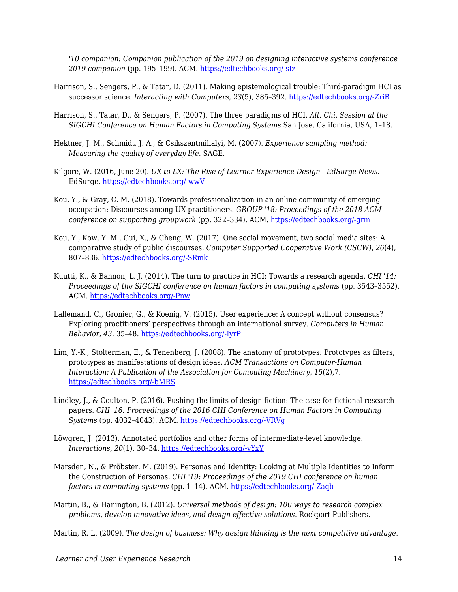*'10 companion: Companion publication of the 2019 on designing interactive systems conference 2019 companion* (pp. 195–199). ACM. [https://edtechbooks.org/-sIz](https://doi.org/10.1145/3301019.3323894)

- Harrison, S., Sengers, P., & Tatar, D. (2011). Making epistemological trouble: Third-paradigm HCI as successor science. *Interacting with Computers, 23*(5), 385–392. [https://edtechbooks.org/-ZriB](https://doi.org/10.1016/j.intcom.2011.03.005)
- Harrison, S., Tatar, D., & Sengers, P. (2007). The three paradigms of HCI. *Alt. Chi. Session at the SIGCHI Conference on Human Factors in Computing Systems* San Jose, California, USA, 1–18.
- Hektner, J. M., Schmidt, J. A., & Csikszentmihalyi, M. (2007). *Experience sampling method: Measuring the quality of everyday life*. SAGE.
- Kilgore, W. (2016, June 20). *UX to LX: The Rise of Learner Experience Design EdSurge News*. EdSurge. [https://edtechbooks.org/-wwV](https://www.edsurge.com/news/2016-06-20-ux-to-lx-the-rise-of-learner-experience-design)
- Kou, Y., & Gray, C. M. (2018). Towards professionalization in an online community of emerging occupation: Discourses among UX practitioners. *GROUP '18: Proceedings of the 2018 ACM conference on supporting groupwork* (pp. 322–334). ACM. [https://edtechbooks.org/-grm](https://doi.org/10.1145/3148330.3148352)
- Kou, Y., Kow, Y. M., Gui, X., & Cheng, W. (2017). One social movement, two social media sites: A comparative study of public discourses. *Computer Supported Cooperative Work (CSCW), 26*(4), 807–836. [https://edtechbooks.org/-SRmk](https://doi.org/10.1007/s10606-017-9284-y)
- Kuutti, K., & Bannon, L. J. (2014). The turn to practice in HCI: Towards a research agenda. *CHI '14: Proceedings of the SIGCHI conference on human factors in computing systems (pp. 3543-3552).* ACM. [https://edtechbooks.org/-Pnw](https://doi.org/10.1145/2556288.2557111)
- Lallemand, C., Gronier, G., & Koenig, V. (2015). User experience: A concept without consensus? Exploring practitioners' perspectives through an international survey. *Computers in Human Behavior, 43*, 35–48. [https://edtechbooks.org/-IyrP](https://doi.org/10.1016/j.chb.2014.10.048)
- Lim, Y.-K., Stolterman, E., & Tenenberg, J. (2008). The anatomy of prototypes: Prototypes as filters, prototypes as manifestations of design ideas. *ACM Transactions on Computer-Human Interaction: A Publication of the Association for Computing Machinery, 15*(2),7. [https://edtechbooks.org/-bMRS](https://doi.org/10.1145/1375761.1375762)
- Lindley, J., & Coulton, P. (2016). Pushing the limits of design fiction: The case for fictional research papers. *CHI '16: Proceedings of the 2016 CHI Conference on Human Factors in Computing Systems* (pp. 4032–4043). ACM. [https://edtechbooks.org/-VRVg](https://doi.org/10.1145/2858036.2858446)
- Löwgren, J. (2013). Annotated portfolios and other forms of intermediate-level knowledge. *Interactions, 20*(1), 30–34. [https://edtechbooks.org/-vYxY](https://doi.org/10.1145/2405716.2405725)
- Marsden, N., & Pröbster, M. (2019). Personas and Identity: Looking at Multiple Identities to Inform the Construction of Personas. *CHI '19: Proceedings of the 2019 CHI conference on human factors in computing systems* (pp. 1–14). ACM. [https://edtechbooks.org/-Zaqb](https://doi.org/10.1145/3290605.3300565)
- Martin, B., & Hanington, B. (2012). *Universal methods of design: 100 ways to research complex problems, develop innovative ideas, and design effective solutions*. Rockport Publishers.

Martin, R. L. (2009). *The design of business: Why design thinking is the next competitive advantage*.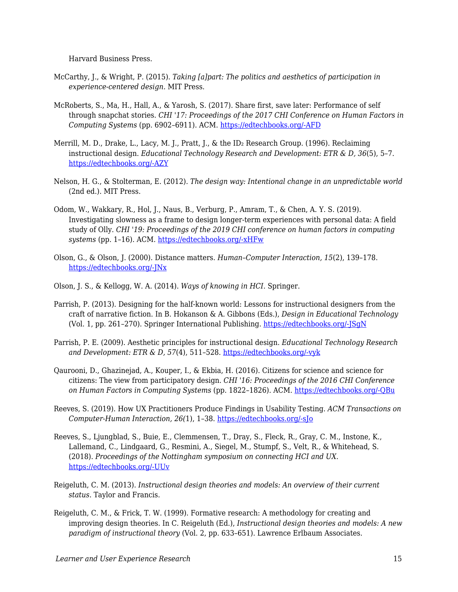Harvard Business Press.

- McCarthy, J., & Wright, P. (2015). *Taking [a]part: The politics and aesthetics of participation in experience-centered design*. MIT Press.
- McRoberts, S., Ma, H., Hall, A., & Yarosh, S. (2017). Share first, save later: Performance of self through snapchat stories. *CHI '17: Proceedings of the 2017 CHI Conference on Human Factors in Computing Systems* (pp. 6902–6911). ACM. [https://edtechbooks.org/-AFD](https://doi.org/10.1145/3025453.3025771)
- Merrill, M. D., Drake, L., Lacy, M. J., Pratt, J., & the ID<sub>2</sub> Research Group. (1996). Reclaiming instructional design. *Educational Technology Research and Development: ETR & D, 36*(5), 5–7. [https://edtechbooks.org/-AZY](http://www.jstor.org/stable/44428356)
- Nelson, H. G., & Stolterman, E. (2012). *The design way: Intentional change in an unpredictable world* (2nd ed.). MIT Press.
- Odom, W., Wakkary, R., Hol, J., Naus, B., Verburg, P., Amram, T., & Chen, A. Y. S. (2019). Investigating slowness as a frame to design longer-term experiences with personal data: A field study of Olly. *CHI '19: Proceedings of the 2019 CHI conference on human factors in computing systems* (pp. 1–16). ACM. [https://edtechbooks.org/-xHFw](https://doi.org/10.1145/3290605.3300264)
- Olson, G., & Olson, J. (2000). Distance matters. *Human–Computer Interaction, 15*(2), 139–178. [https://edtechbooks.org/-JNx](https://doi.org/10.1207/S15327051HCI1523_4)
- Olson, J. S., & Kellogg, W. A. (2014). *Ways of knowing in HCI*. Springer.
- Parrish, P. (2013). Designing for the half-known world: Lessons for instructional designers from the craft of narrative fiction. In B. Hokanson & A. Gibbons (Eds.), *Design in Educational Technology* (Vol. 1, pp. 261–270). Springer International Publishing. [https://edtechbooks.org/-JSgN](http://link.springer.com/10.1007/978-3-319-00927-8_15)
- Parrish, P. E. (2009). Aesthetic principles for instructional design. *Educational Technology Research and Development: ETR & D, 57*(4), 511–528. [https://edtechbooks.org/-vyk](https://doi.org/10.1007/s11423-007-9060-7)
- Qaurooni, D., Ghazinejad, A., Kouper, I., & Ekbia, H. (2016). Citizens for science and science for citizens: The view from participatory design. *CHI '16: Proceedings of the 2016 CHI Conference on Human Factors in Computing Systems* (pp. 1822–1826). ACM. [https://edtechbooks.org/-QBu](https://doi.org/10.1145/2858036.2858575)
- Reeves, S. (2019). How UX Practitioners Produce Findings in Usability Testing. *ACM Transactions on Computer-Human Interaction, 26(*1), 1–38. [https://edtechbooks.org/-sJo](https://doi.org/10.1145/3299096)
- Reeves, S., Ljungblad, S., Buie, E., Clemmensen, T., Dray, S., Fleck, R., Gray, C. M., Instone, K., Lallemand, C., Lindgaard, G., Resmini, A., Siegel, M., Stumpf, S., Velt, R., & Whitehead, S. (2018). *Proceedings of the Nottingham symposium on connecting HCI and UX.* [https://edtechbooks.org/-UUv](https://doi.org/10.17639/8vez-c741)
- Reigeluth, C. M. (2013). *Instructional design theories and models: An overview of their current status*. Taylor and Francis.
- Reigeluth, C. M., & Frick, T. W. (1999). Formative research: A methodology for creating and improving design theories. In C. Reigeluth (Ed.), *Instructional design theories and models: A new paradigm of instructional theory* (Vol. 2, pp. 633–651). Lawrence Erlbaum Associates.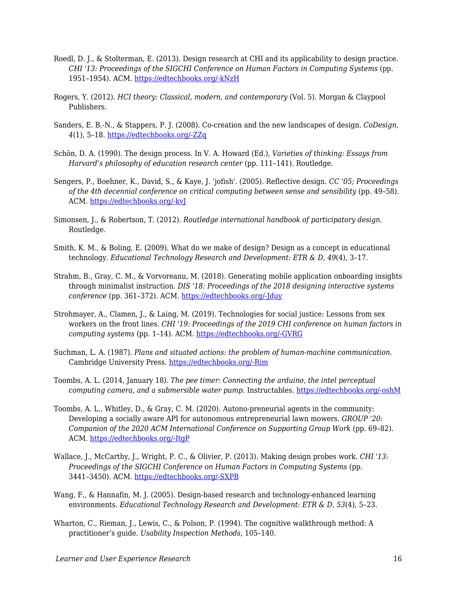- Roedl, D. J., & Stolterman, E. (2013). Design research at CHI and its applicability to design practice. *CHI '13: Proceedings of the SIGCHI Conference on Human Factors in Computing Systems* (pp. 1951–1954). ACM. [https://edtechbooks.org/-kNzH](https://doi.org/10.1145/2470654.2466257)
- Rogers, Y. (2012). *HCI theory: Classical, modern, and contemporary* (Vol. 5). Morgan & Claypool Publishers.
- Sanders, E. B.-N., & Stappers, P. J. (2008). Co-creation and the new landscapes of design. *CoDesign, 4*(1), 5–18. [https://edtechbooks.org/-ZZq](https://doi.org/10.1080/15710880701875068)
- Schön, D. A. (1990). The design process. In V. A. Howard (Ed.), *Varieties of thinking: Essays from Harvard's philosophy of education research center* (pp. 111–141). Routledge.
- Sengers, P., Boehner, K., David, S., & Kaye, J. 'jofish'. (2005). Reflective design. *CC '05; Proceedings of the 4th decennial conference on critical computing between sense and sensibility* (pp. 49–58). ACM. [https://edtechbooks.org/-kvJ](https://doi.org/10.1145/1094562.1094569)
- Simonsen, J., & Robertson, T. (2012). *Routledge international handbook of participatory design*. Routledge.
- Smith, K. M., & Boling, E. (2009). What do we make of design? Design as a concept in educational technology. *Educational Technology Research and Development: ETR & D, 49*(4), 3–17.
- Strahm, B., Gray, C. M., & Vorvoreanu, M. (2018). Generating mobile application onboarding insights through minimalist instruction. *DIS '18: Proceedings of the 2018 designing interactive systems conference* (pp. 361–372). ACM. [https://edtechbooks.org/-Jduy](https://doi.org/10.1145/3196709.3196727)
- Strohmayer, A., Clamen, J., & Laing, M. (2019). Technologies for social justice: Lessons from sex workers on the front lines. *CHI '19: Proceedings of the 2019 CHI conference on human factors in computing systems* (pp. 1–14). ACM. [https://edtechbooks.org/-GVRG](https://doi.org/10.1145/3290605.3300882)
- Suchman, L. A. (1987). *Plans and situated actions: the problem of human-machine communication*. Cambridge University Press. [https://edtechbooks.org/-Rim](http://dl.acm.org/citation.cfm?id=38407)
- Toombs, A. L. (2014, January 18). *The pee timer: Connecting the arduino, the intel perceptual computing camera, and a submersible water pump*. Instructables. [https://edtechbooks.org/-oshM](https://www.instructables.com/id/The-Pee-Timer-Connecting-the-Arduino-the-Intel-Per/)
- Toombs, A. L., Whitley, D., & Gray, C. M. (2020). Autono-preneurial agents in the community: Developing a socially aware API for autonomous entrepreneurial lawn mowers. *GROUP '20: Companion of the 2020 ACM International Conference on Supporting Group Work* (pp. 69–82). ACM. [https://edtechbooks.org/-ItgP](https://doi.org/10.1145/3323994.3369900)
- Wallace, J., McCarthy, J., Wright, P. C., & Olivier, P. (2013). Making design probes work. *CHI '13: Proceedings of the SIGCHI Conference on Human Factors in Computing Systems (pp.* 3441–3450). ACM. [https://edtechbooks.org/-SXPB](https://doi.org/10.1145/2470654.2466473)
- Wang, F., & Hannafin, M. J. (2005). Design-based research and technology-enhanced learning environments. *Educational Technology Research and Development: ETR & D, 53*(4), 5–23.
- Wharton, C., Rieman, J., Lewis, C., & Polson, P. (1994). The cognitive walkthrough method: A practitioner's guide. *Usability Inspection Methods*, 105–140.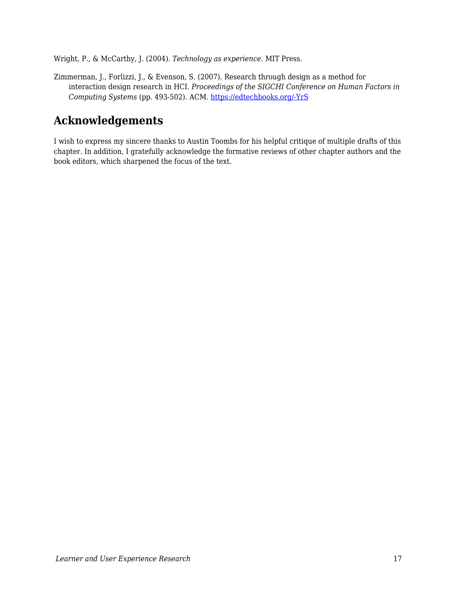Wright, P., & McCarthy, J. (2004). *Technology as experience*. MIT Press.

Zimmerman, J., Forlizzi, J., & Evenson, S. (2007). Research through design as a method for interaction design research in HCI. *Proceedings of the SIGCHI Conference on Human Factors in Computing Systems* (pp. 493-502). ACM. [https://edtechbooks.org/-YrS](https://doi.org/10.1145/1240624.1240704)

# **Acknowledgements**

I wish to express my sincere thanks to Austin Toombs for his helpful critique of multiple drafts of this chapter. In addition, I gratefully acknowledge the formative reviews of other chapter authors and the book editors, which sharpened the focus of the text.